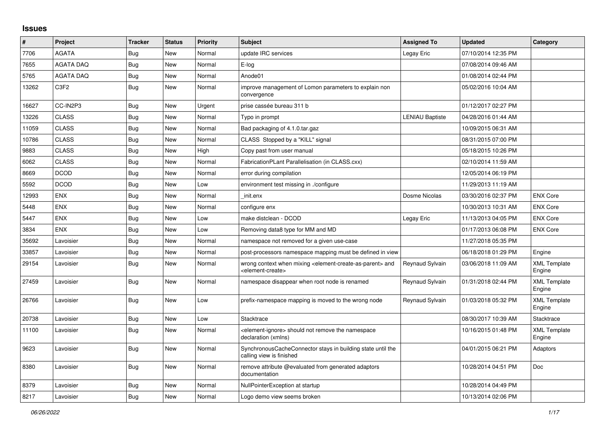## **Issues**

| #     | Project          | <b>Tracker</b> | <b>Status</b> | Priority | <b>Subject</b>                                                                                                            | <b>Assigned To</b>     | <b>Updated</b>      | Category                      |
|-------|------------------|----------------|---------------|----------|---------------------------------------------------------------------------------------------------------------------------|------------------------|---------------------|-------------------------------|
| 7706  | <b>AGATA</b>     | Bug            | New           | Normal   | update IRC services                                                                                                       | Legay Eric             | 07/10/2014 12:35 PM |                               |
| 7655  | <b>AGATA DAQ</b> | <b>Bug</b>     | <b>New</b>    | Normal   | E-log                                                                                                                     |                        | 07/08/2014 09:46 AM |                               |
| 5765  | <b>AGATA DAQ</b> | <b>Bug</b>     | New           | Normal   | Anode01                                                                                                                   |                        | 01/08/2014 02:44 PM |                               |
| 13262 | C <sub>3F2</sub> | Bug            | New           | Normal   | improve management of Lomon parameters to explain non<br>convergence                                                      |                        | 05/02/2016 10:04 AM |                               |
| 16627 | CC-IN2P3         | <b>Bug</b>     | <b>New</b>    | Urgent   | prise cassée bureau 311 b                                                                                                 |                        | 01/12/2017 02:27 PM |                               |
| 13226 | <b>CLASS</b>     | Bug            | New           | Normal   | Typo in prompt                                                                                                            | <b>LENIAU Baptiste</b> | 04/28/2016 01:44 AM |                               |
| 11059 | <b>CLASS</b>     | Bug            | New           | Normal   | Bad packaging of 4.1.0.tar.gaz                                                                                            |                        | 10/09/2015 06:31 AM |                               |
| 10786 | <b>CLASS</b>     | <b>Bug</b>     | New           | Normal   | CLASS Stopped by a "KILL" signal                                                                                          |                        | 08/31/2015 07:00 PM |                               |
| 9883  | <b>CLASS</b>     | Bug            | New           | High     | Copy past from user manual                                                                                                |                        | 05/18/2015 10:26 PM |                               |
| 6062  | <b>CLASS</b>     | Bug            | New           | Normal   | FabricationPLant Parallelisation (in CLASS.cxx)                                                                           |                        | 02/10/2014 11:59 AM |                               |
| 8669  | <b>DCOD</b>      | Bug            | New           | Normal   | error during compilation                                                                                                  |                        | 12/05/2014 06:19 PM |                               |
| 5592  | <b>DCOD</b>      | <b>Bug</b>     | New           | Low      | environment test missing in ./configure                                                                                   |                        | 11/29/2013 11:19 AM |                               |
| 12993 | <b>ENX</b>       | Bug            | New           | Normal   | init.enx                                                                                                                  | Dosme Nicolas          | 03/30/2016 02:37 PM | <b>ENX Core</b>               |
| 5448  | ENX              | Bug            | New           | Normal   | configure enx                                                                                                             |                        | 10/30/2013 10:31 AM | <b>ENX Core</b>               |
| 5447  | <b>ENX</b>       | <b>Bug</b>     | <b>New</b>    | Low      | make distclean - DCOD                                                                                                     | Legay Eric             | 11/13/2013 04:05 PM | <b>ENX Core</b>               |
| 3834  | <b>ENX</b>       | Bug            | New           | Low      | Removing data8 type for MM and MD                                                                                         |                        | 01/17/2013 06:08 PM | <b>ENX Core</b>               |
| 35692 | Lavoisier        | <b>Bug</b>     | New           | Normal   | namespace not removed for a given use-case                                                                                |                        | 11/27/2018 05:35 PM |                               |
| 33857 | Lavoisier        | <b>Bug</b>     | New           | Normal   | post-processors namespace mapping must be defined in view                                                                 |                        | 06/18/2018 01:29 PM | Engine                        |
| 29154 | Lavoisier        | Bug            | New           | Normal   | wrong context when mixing <element-create-as-parent> and<br/><element-create></element-create></element-create-as-parent> | Reynaud Sylvain        | 03/06/2018 11:09 AM | <b>XML Template</b><br>Engine |
| 27459 | Lavoisier        | <b>Bug</b>     | New           | Normal   | namespace disappear when root node is renamed                                                                             | Reynaud Sylvain        | 01/31/2018 02:44 PM | <b>XML Template</b><br>Engine |
| 26766 | Lavoisier        | Bug            | New           | Low      | prefix-namespace mapping is moved to the wrong node                                                                       | Reynaud Sylvain        | 01/03/2018 05:32 PM | <b>XML Template</b><br>Engine |
| 20738 | Lavoisier        | <b>Bug</b>     | <b>New</b>    | Low      | Stacktrace                                                                                                                |                        | 08/30/2017 10:39 AM | Stacktrace                    |
| 11100 | Lavoisier        | Bug            | New           | Normal   | element-ignore> should not remove the namespace<br>declaration (xmlns)                                                    |                        | 10/16/2015 01:48 PM | <b>XML Template</b><br>Engine |
| 9623  | Lavoisier        | Bug            | New           | Normal   | SynchronousCacheConnector stays in building state until the<br>calling view is finished                                   |                        | 04/01/2015 06:21 PM | Adaptors                      |
| 8380  | Lavoisier        | Bug            | New           | Normal   | remove attribute @evaluated from generated adaptors<br>documentation                                                      |                        | 10/28/2014 04:51 PM | Doc                           |
| 8379  | Lavoisier        | Bug            | New           | Normal   | NullPointerException at startup                                                                                           |                        | 10/28/2014 04:49 PM |                               |
| 8217  | Lavoisier        | Bug            | New           | Normal   | Logo demo view seems broken                                                                                               |                        | 10/13/2014 02:06 PM |                               |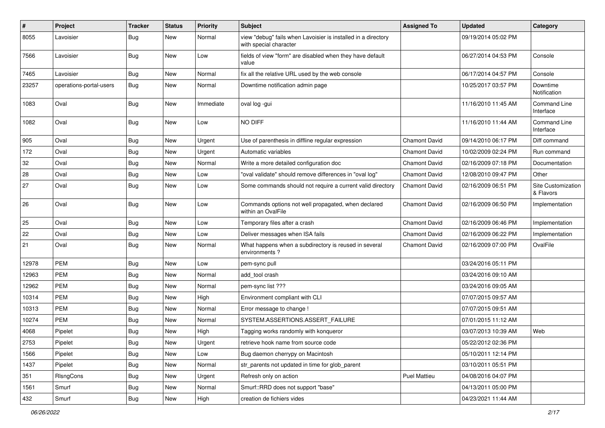| $\pmb{\#}$ | Project                 | <b>Tracker</b> | <b>Status</b> | <b>Priority</b> | Subject                                                                                 | <b>Assigned To</b>   | <b>Updated</b>      | Category                         |
|------------|-------------------------|----------------|---------------|-----------------|-----------------------------------------------------------------------------------------|----------------------|---------------------|----------------------------------|
| 8055       | Lavoisier               | <b>Bug</b>     | New           | Normal          | view "debug" fails when Lavoisier is installed in a directory<br>with special character |                      | 09/19/2014 05:02 PM |                                  |
| 7566       | Lavoisier               | Bug            | New           | Low             | fields of view "form" are disabled when they have default<br>value                      |                      | 06/27/2014 04:53 PM | Console                          |
| 7465       | Lavoisier               | Bug            | New           | Normal          | fix all the relative URL used by the web console                                        |                      | 06/17/2014 04:57 PM | Console                          |
| 23257      | operations-portal-users | Bug            | New           | Normal          | Downtime notification admin page                                                        |                      | 10/25/2017 03:57 PM | Downtime<br>Notification         |
| 1083       | Oval                    | Bug            | New           | Immediate       | oval log -gui                                                                           |                      | 11/16/2010 11:45 AM | <b>Command Line</b><br>Interface |
| 1082       | Oval                    | <b>Bug</b>     | New           | Low             | NO DIFF                                                                                 |                      | 11/16/2010 11:44 AM | <b>Command Line</b><br>Interface |
| 905        | Oval                    | <b>Bug</b>     | New           | Urgent          | Use of parenthesis in diffline regular expression                                       | <b>Chamont David</b> | 09/14/2010 06:17 PM | Diff command                     |
| 172        | Oval                    | Bug            | New           | Urgent          | Automatic variables                                                                     | <b>Chamont David</b> | 10/02/2009 02:24 PM | Run command                      |
| 32         | Oval                    | <b>Bug</b>     | <b>New</b>    | Normal          | Write a more detailed configuration doc                                                 | <b>Chamont David</b> | 02/16/2009 07:18 PM | Documentation                    |
| 28         | Oval                    | <b>Bug</b>     | New           | Low             | "oval validate" should remove differences in "oval log"                                 | Chamont David        | 12/08/2010 09:47 PM | Other                            |
| 27         | Oval                    | <b>Bug</b>     | New           | Low             | Some commands should not require a current valid directory                              | Chamont David        | 02/16/2009 06:51 PM | Site Customization<br>& Flavors  |
| 26         | Oval                    | <b>Bug</b>     | New           | Low             | Commands options not well propagated, when declared<br>within an OvalFile               | <b>Chamont David</b> | 02/16/2009 06:50 PM | Implementation                   |
| 25         | Oval                    | <b>Bug</b>     | New           | Low             | Temporary files after a crash                                                           | <b>Chamont David</b> | 02/16/2009 06:46 PM | Implementation                   |
| 22         | Oval                    | Bug            | New           | Low             | Deliver messages when ISA fails                                                         | <b>Chamont David</b> | 02/16/2009 06:22 PM | Implementation                   |
| 21         | Oval                    | Bug            | New           | Normal          | What happens when a subdirectory is reused in several<br>environments?                  | Chamont David        | 02/16/2009 07:00 PM | OvalFile                         |
| 12978      | <b>PEM</b>              | Bug            | New           | Low             | pem-sync pull                                                                           |                      | 03/24/2016 05:11 PM |                                  |
| 12963      | <b>PEM</b>              | <b>Bug</b>     | New           | Normal          | add tool crash                                                                          |                      | 03/24/2016 09:10 AM |                                  |
| 12962      | <b>PEM</b>              | <b>Bug</b>     | <b>New</b>    | Normal          | pem-sync list ???                                                                       |                      | 03/24/2016 09:05 AM |                                  |
| 10314      | PEM                     | <b>Bug</b>     | New           | High            | Environment compliant with CLI                                                          |                      | 07/07/2015 09:57 AM |                                  |
| 10313      | <b>PEM</b>              | <b>Bug</b>     | New           | Normal          | Error message to change !                                                               |                      | 07/07/2015 09:51 AM |                                  |
| 10274      | <b>PEM</b>              | Bug            | New           | Normal          | SYSTEM.ASSERTIONS.ASSERT_FAILURE                                                        |                      | 07/01/2015 11:12 AM |                                  |
| 4068       | Pipelet                 | <b>Bug</b>     | New           | High            | Tagging works randomly with konqueror                                                   |                      | 03/07/2013 10:39 AM | Web                              |
| 2753       | Pipelet                 | <b>Bug</b>     | New           | Urgent          | retrieve hook name from source code                                                     |                      | 05/22/2012 02:36 PM |                                  |
| 1566       | Pipelet                 | <b>Bug</b>     | New           | Low             | Bug daemon cherrypy on Macintosh                                                        |                      | 05/10/2011 12:14 PM |                                  |
| 1437       | Pipelet                 | Bug            | New           | Normal          | str_parents not updated in time for glob_parent                                         |                      | 03/10/2011 05:51 PM |                                  |
| 351        | RIsngCons               | <b>Bug</b>     | New           | Urgent          | Refresh only on action                                                                  | Puel Mattieu         | 04/08/2016 04:07 PM |                                  |
| 1561       | Smurf                   | <b>Bug</b>     | New           | Normal          | Smurf::RRD does not support "base"                                                      |                      | 04/13/2011 05:00 PM |                                  |
| 432        | Smurf                   | Bug            | New           | High            | creation de fichiers vides                                                              |                      | 04/23/2021 11:44 AM |                                  |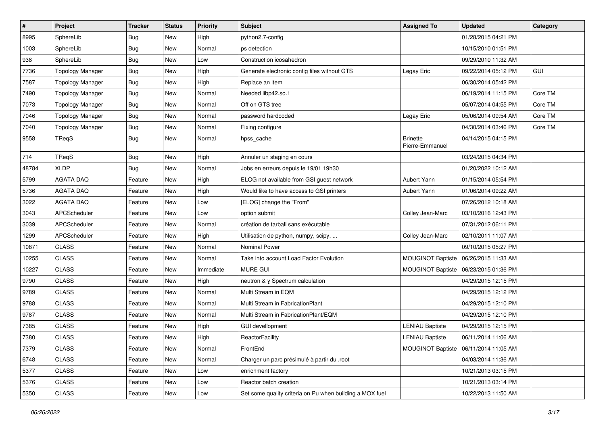| $\vert$ # | Project                 | <b>Tracker</b> | <b>Status</b> | <b>Priority</b> | Subject                                                  | <b>Assigned To</b>                 | <b>Updated</b>      | Category |
|-----------|-------------------------|----------------|---------------|-----------------|----------------------------------------------------------|------------------------------------|---------------------|----------|
| 8995      | SphereLib               | <b>Bug</b>     | New           | High            | python2.7-config                                         |                                    | 01/28/2015 04:21 PM |          |
| 1003      | SphereLib               | <b>Bug</b>     | New           | Normal          | ps detection                                             |                                    | 10/15/2010 01:51 PM |          |
| 938       | SphereLib               | <b>Bug</b>     | New           | Low             | Construction icosahedron                                 |                                    | 09/29/2010 11:32 AM |          |
| 7736      | <b>Topology Manager</b> | <b>Bug</b>     | New           | High            | Generate electronic config files without GTS             | Legay Eric                         | 09/22/2014 05:12 PM | GUI      |
| 7587      | <b>Topology Manager</b> | <b>Bug</b>     | New           | High            | Replace an item                                          |                                    | 06/30/2014 05:42 PM |          |
| 7490      | <b>Topology Manager</b> | <b>Bug</b>     | New           | Normal          | Needed libp42.so.1                                       |                                    | 06/19/2014 11:15 PM | Core TM  |
| 7073      | <b>Topology Manager</b> | <b>Bug</b>     | New           | Normal          | Off on GTS tree                                          |                                    | 05/07/2014 04:55 PM | Core TM  |
| 7046      | <b>Topology Manager</b> | <b>Bug</b>     | New           | Normal          | password hardcoded                                       | Legay Eric                         | 05/06/2014 09:54 AM | Core TM  |
| 7040      | <b>Topology Manager</b> | <b>Bug</b>     | New           | Normal          | Fixing configure                                         |                                    | 04/30/2014 03:46 PM | Core TM  |
| 9558      | TReqS                   | <b>Bug</b>     | New           | Normal          | hpss_cache                                               | <b>Brinette</b><br>Pierre-Emmanuel | 04/14/2015 04:15 PM |          |
| 714       | TReqS                   | <b>Bug</b>     | New           | High            | Annuler un staging en cours                              |                                    | 03/24/2015 04:34 PM |          |
| 48784     | <b>XLDP</b>             | <b>Bug</b>     | New           | Normal          | Jobs en erreurs depuis le 19/01 19h30                    |                                    | 01/20/2022 10:12 AM |          |
| 5799      | <b>AGATA DAQ</b>        | Feature        | New           | High            | ELOG not available from GSI guest network                | Aubert Yann                        | 01/15/2014 05:54 PM |          |
| 5736      | <b>AGATA DAQ</b>        | Feature        | New           | High            | Would like to have access to GSI printers                | Aubert Yann                        | 01/06/2014 09:22 AM |          |
| 3022      | <b>AGATA DAQ</b>        | Feature        | New           | Low             | [ELOG] change the "From"                                 |                                    | 07/26/2012 10:18 AM |          |
| 3043      | APCScheduler            | Feature        | New           | Low             | option submit                                            | Colley Jean-Marc                   | 03/10/2016 12:43 PM |          |
| 3039      | APCScheduler            | Feature        | New           | Normal          | création de tarball sans exécutable                      |                                    | 07/31/2012 06:11 PM |          |
| 1299      | APCScheduler            | Feature        | New           | High            | Utilisation de python, numpy, scipy,                     | Colley Jean-Marc                   | 02/10/2011 11:07 AM |          |
| 10871     | <b>CLASS</b>            | Feature        | New           | Normal          | <b>Nominal Power</b>                                     |                                    | 09/10/2015 05:27 PM |          |
| 10255     | <b>CLASS</b>            | Feature        | New           | Normal          | Take into account Load Factor Evolution                  | MOUGINOT Baptiste                  | 06/26/2015 11:33 AM |          |
| 10227     | <b>CLASS</b>            | Feature        | New           | Immediate       | <b>MURE GUI</b>                                          | MOUGINOT Baptiste                  | 06/23/2015 01:36 PM |          |
| 9790      | <b>CLASS</b>            | Feature        | New           | High            | neutron & y Spectrum calculation                         |                                    | 04/29/2015 12:15 PM |          |
| 9789      | <b>CLASS</b>            | Feature        | New           | Normal          | Multi Stream in EQM                                      |                                    | 04/29/2015 12:12 PM |          |
| 9788      | <b>CLASS</b>            | Feature        | New           | Normal          | Multi Stream in FabricationPlant                         |                                    | 04/29/2015 12:10 PM |          |
| 9787      | <b>CLASS</b>            | Feature        | New           | Normal          | Multi Stream in FabricationPlant/EQM                     |                                    | 04/29/2015 12:10 PM |          |
| 7385      | <b>CLASS</b>            | Feature        | New           | High            | <b>GUI devellopment</b>                                  | LENIAU Baptiste                    | 04/29/2015 12:15 PM |          |
| 7380      | <b>CLASS</b>            | Feature        | New           | High            | ReactorFacility                                          | <b>LENIAU Baptiste</b>             | 06/11/2014 11:06 AM |          |
| 7379      | CLASS                   | Feature        | New           | Normal          | FrontEnd                                                 | MOUGINOT Baptiste                  | 06/11/2014 11:05 AM |          |
| 6748      | <b>CLASS</b>            | Feature        | New           | Normal          | Charger un parc présimulé à partir du .root              |                                    | 04/03/2014 11:36 AM |          |
| 5377      | <b>CLASS</b>            | Feature        | New           | Low             | enrichment factory                                       |                                    | 10/21/2013 03:15 PM |          |
| 5376      | <b>CLASS</b>            | Feature        | New           | Low             | Reactor batch creation                                   |                                    | 10/21/2013 03:14 PM |          |
| 5350      | CLASS                   | Feature        | New           | Low             | Set some quality criteria on Pu when building a MOX fuel |                                    | 10/22/2013 11:50 AM |          |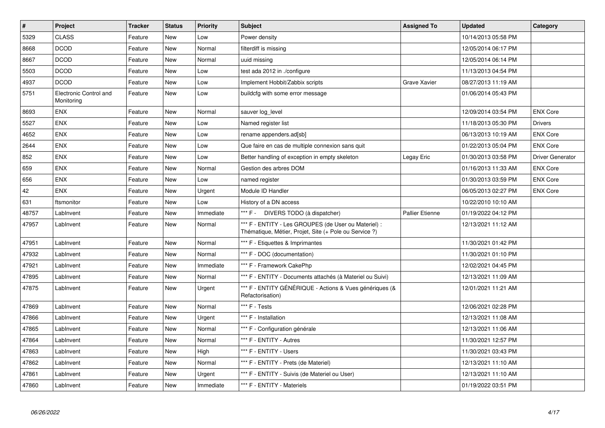| #     | <b>Project</b>                       | <b>Tracker</b> | <b>Status</b> | Priority  | <b>Subject</b>                                                                                                 | <b>Assigned To</b>     | <b>Updated</b>      | Category                |
|-------|--------------------------------------|----------------|---------------|-----------|----------------------------------------------------------------------------------------------------------------|------------------------|---------------------|-------------------------|
| 5329  | <b>CLASS</b>                         | Feature        | New           | Low       | Power density                                                                                                  |                        | 10/14/2013 05:58 PM |                         |
| 8668  | <b>DCOD</b>                          | Feature        | <b>New</b>    | Normal    | filterdiff is missing                                                                                          |                        | 12/05/2014 06:17 PM |                         |
| 8667  | <b>DCOD</b>                          | Feature        | New           | Normal    | uuid missing                                                                                                   |                        | 12/05/2014 06:14 PM |                         |
| 5503  | <b>DCOD</b>                          | Feature        | <b>New</b>    | Low       | test ada 2012 in ./configure                                                                                   |                        | 11/13/2013 04:54 PM |                         |
| 4937  | <b>DCOD</b>                          | Feature        | New           | Low       | Implement Hobbit/Zabbix scripts                                                                                | <b>Grave Xavier</b>    | 08/27/2013 11:19 AM |                         |
| 5751  | Electronic Control and<br>Monitoring | Feature        | New           | Low       | buildcfg with some error message                                                                               |                        | 01/06/2014 05:43 PM |                         |
| 8693  | <b>ENX</b>                           | Feature        | New           | Normal    | sauver log level                                                                                               |                        | 12/09/2014 03:54 PM | <b>ENX Core</b>         |
| 5527  | <b>ENX</b>                           | Feature        | <b>New</b>    | Low       | Named register list                                                                                            |                        | 11/18/2013 05:30 PM | <b>Drivers</b>          |
| 4652  | <b>ENX</b>                           | Feature        | New           | Low       | rename appenders.ad[sb]                                                                                        |                        | 06/13/2013 10:19 AM | <b>ENX Core</b>         |
| 2644  | <b>ENX</b>                           | Feature        | <b>New</b>    | Low       | Que faire en cas de multiple connexion sans quit                                                               |                        | 01/22/2013 05:04 PM | <b>ENX Core</b>         |
| 852   | <b>ENX</b>                           | Feature        | New           | Low       | Better handling of exception in empty skeleton                                                                 | Legay Eric             | 01/30/2013 03:58 PM | <b>Driver Generator</b> |
| 659   | <b>ENX</b>                           | Feature        | New           | Normal    | Gestion des arbres DOM                                                                                         |                        | 01/16/2013 11:33 AM | <b>ENX Core</b>         |
| 656   | <b>ENX</b>                           | Feature        | New           | Low       | named register                                                                                                 |                        | 01/30/2013 03:59 PM | <b>ENX Core</b>         |
| 42    | <b>ENX</b>                           | Feature        | New           | Urgent    | Module ID Handler                                                                                              |                        | 06/05/2013 02:27 PM | <b>ENX Core</b>         |
| 631   | ftsmonitor                           | Feature        | New           | Low       | History of a DN access                                                                                         |                        | 10/22/2010 10:10 AM |                         |
| 48757 | LabInvent                            | Feature        | New           | Immediate | *** F - DIVERS TODO (à dispatcher)                                                                             | <b>Pallier Etienne</b> | 01/19/2022 04:12 PM |                         |
| 47957 | Lablnvent                            | Feature        | New           | Normal    | *** F - ENTITY - Les GROUPES (de User ou Materiel) :<br>Thématique, Métier, Projet, Site (+ Pole ou Service ?) |                        | 12/13/2021 11:12 AM |                         |
| 47951 | LabInvent                            | Feature        | New           | Normal    | *** F - Etiquettes & Imprimantes                                                                               |                        | 11/30/2021 01:42 PM |                         |
| 47932 | LabInvent                            | Feature        | New           | Normal    | *** F - DOC (documentation)                                                                                    |                        | 11/30/2021 01:10 PM |                         |
| 47921 | Lablnvent                            | Feature        | New           | Immediate | *** F - Framework CakePhp                                                                                      |                        | 12/02/2021 04:45 PM |                         |
| 47895 | Lablnvent                            | Feature        | New           | Normal    | *** F - ENTITY - Documents attachés (à Materiel ou Suivi)                                                      |                        | 12/13/2021 11:09 AM |                         |
| 47875 | LabInvent                            | Feature        | New           | Urgent    | *** F - ENTITY GÉNÉRIQUE - Actions & Vues génériques (&<br>Refactorisation)                                    |                        | 12/01/2021 11:21 AM |                         |
| 47869 | LabInvent                            | Feature        | New           | Normal    | *** F - Tests                                                                                                  |                        | 12/06/2021 02:28 PM |                         |
| 47866 | LabInvent                            | Feature        | New           | Urgent    | *** F - Installation                                                                                           |                        | 12/13/2021 11:08 AM |                         |
| 47865 | Lablnvent                            | Feature        | New           | Normal    | *** F - Configuration générale                                                                                 |                        | 12/13/2021 11:06 AM |                         |
| 47864 | Lablnvent                            | Feature        | New           | Normal    | *** F - ENTITY - Autres                                                                                        |                        | 11/30/2021 12:57 PM |                         |
| 47863 | LabInvent                            | Feature        | New           | High      | *** F - ENTITY - Users                                                                                         |                        | 11/30/2021 03:43 PM |                         |
| 47862 | Lablnvent                            | Feature        | New           | Normal    | *** F - ENTITY - Prets (de Materiel)                                                                           |                        | 12/13/2021 11:10 AM |                         |
| 47861 | LabInvent                            | Feature        | New           | Urgent    | *** F - ENTITY - Suivis (de Materiel ou User)                                                                  |                        | 12/13/2021 11:10 AM |                         |
| 47860 | Lablnvent                            | Feature        | New           | Immediate | *** F - ENTITY - Materiels                                                                                     |                        | 01/19/2022 03:51 PM |                         |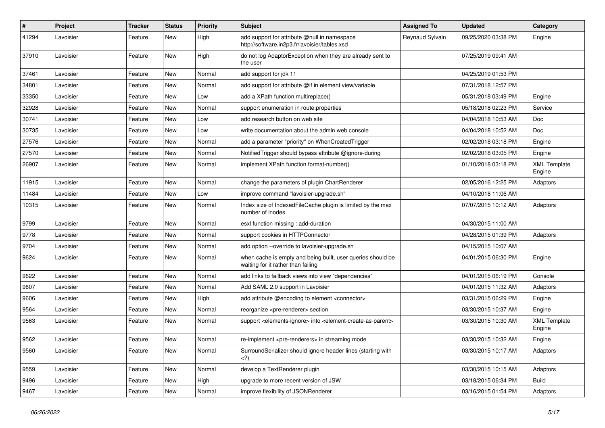| $\pmb{\#}$ | Project   | <b>Tracker</b> | <b>Status</b> | <b>Priority</b> | Subject                                                                                                | <b>Assigned To</b> | <b>Updated</b>      | Category                      |
|------------|-----------|----------------|---------------|-----------------|--------------------------------------------------------------------------------------------------------|--------------------|---------------------|-------------------------------|
| 41294      | Lavoisier | Feature        | <b>New</b>    | High            | add support for attribute @null in namespace<br>http://software.in2p3.fr/lavoisier/tables.xsd          | Reynaud Sylvain    | 09/25/2020 03:38 PM | Engine                        |
| 37910      | Lavoisier | Feature        | New           | High            | do not log AdaptorException when they are already sent to<br>the user                                  |                    | 07/25/2019 09:41 AM |                               |
| 37461      | Lavoisier | Feature        | <b>New</b>    | Normal          | add support for jdk 11                                                                                 |                    | 04/25/2019 01:53 PM |                               |
| 34801      | Lavoisier | Feature        | <b>New</b>    | Normal          | add support for attribute @if in element view/variable                                                 |                    | 07/31/2018 12:57 PM |                               |
| 33350      | Lavoisier | Feature        | <b>New</b>    | Low             | add a XPath function multireplace()                                                                    |                    | 05/31/2018 03:49 PM | Engine                        |
| 32928      | Lavoisier | Feature        | New           | Normal          | support enumeration in route properties                                                                |                    | 05/18/2018 02:23 PM | Service                       |
| 30741      | Lavoisier | Feature        | New           | Low             | add research button on web site                                                                        |                    | 04/04/2018 10:53 AM | Doc                           |
| 30735      | Lavoisier | Feature        | <b>New</b>    | Low             | write documentation about the admin web console                                                        |                    | 04/04/2018 10:52 AM | Doc                           |
| 27576      | Lavoisier | Feature        | New           | Normal          | add a parameter "priority" on WhenCreatedTrigger                                                       |                    | 02/02/2018 03:18 PM | Engine                        |
| 27570      | Lavoisier | Feature        | New           | Normal          | Notified Trigger should bypass attribute @ignore-during                                                |                    | 02/02/2018 03:05 PM | Engine                        |
| 26907      | Lavoisier | Feature        | New           | Normal          | implement XPath function format-number()                                                               |                    | 01/10/2018 03:18 PM | <b>XML Template</b><br>Engine |
| 11915      | Lavoisier | Feature        | <b>New</b>    | Normal          | change the parameters of plugin ChartRenderer                                                          |                    | 02/05/2016 12:25 PM | Adaptors                      |
| 11484      | Lavoisier | Feature        | New           | Low             | improve command "lavoisier-upgrade.sh"                                                                 |                    | 04/10/2018 11:06 AM |                               |
| 10315      | Lavoisier | Feature        | New           | Normal          | Index size of IndexedFileCache plugin is limited by the max<br>number of inodes                        |                    | 07/07/2015 10:12 AM | Adaptors                      |
| 9799       | Lavoisier | Feature        | <b>New</b>    | Normal          | esxl function missing : add-duration                                                                   |                    | 04/30/2015 11:00 AM |                               |
| 9778       | Lavoisier | Feature        | New           | Normal          | support cookies in HTTPConnector                                                                       |                    | 04/28/2015 01:39 PM | Adaptors                      |
| 9704       | Lavoisier | Feature        | New           | Normal          | add option --override to lavoisier-upgrade.sh                                                          |                    | 04/15/2015 10:07 AM |                               |
| 9624       | Lavoisier | Feature        | New           | Normal          | when cache is empty and being built, user queries should be<br>waiting for it rather than failing      |                    | 04/01/2015 06:30 PM | Engine                        |
| 9622       | Lavoisier | Feature        | New           | Normal          | add links to fallback views into view "dependencies"                                                   |                    | 04/01/2015 06:19 PM | Console                       |
| 9607       | Lavoisier | Feature        | New           | Normal          | Add SAML 2.0 support in Lavoisier                                                                      |                    | 04/01/2015 11:32 AM | Adaptors                      |
| 9606       | Lavoisier | Feature        | <b>New</b>    | High            | add attribute @encoding to element <connector></connector>                                             |                    | 03/31/2015 06:29 PM | Engine                        |
| 9564       | Lavoisier | Feature        | New           | Normal          | reorganize <pre-renderer> section</pre-renderer>                                                       |                    | 03/30/2015 10:37 AM | Engine                        |
| 9563       | Lavoisier | Feature        | New           | Normal          | support <elements-ignore> into <element-create-as-parent></element-create-as-parent></elements-ignore> |                    | 03/30/2015 10:30 AM | <b>XML Template</b><br>Engine |
| 9562       | Lavoisier | Feature        | <b>New</b>    | Normal          | re-implement <pre-renderers> in streaming mode</pre-renderers>                                         |                    | 03/30/2015 10:32 AM | Engine                        |
| 9560       | Lavoisier | Feature        | New           | Normal          | SurroundSerializer should ignore header lines (starting with<br>$\langle$ ?)                           |                    | 03/30/2015 10:17 AM | Adaptors                      |
| 9559       | Lavoisier | Feature        | New           | Normal          | develop a TextRenderer plugin                                                                          |                    | 03/30/2015 10:15 AM | Adaptors                      |
| 9496       | Lavoisier | Feature        | New           | High            | upgrade to more recent version of JSW                                                                  |                    | 03/18/2015 06:34 PM | <b>Build</b>                  |
| 9467       | Lavoisier | Feature        | New           | Normal          | improve flexibility of JSONRenderer                                                                    |                    | 03/16/2015 01:54 PM | Adaptors                      |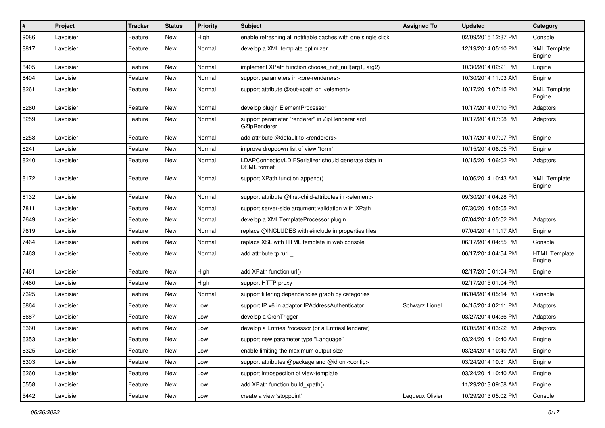| #    | Project   | <b>Tracker</b> | <b>Status</b> | Priority | Subject                                                                    | <b>Assigned To</b> | <b>Updated</b>      | Category                       |
|------|-----------|----------------|---------------|----------|----------------------------------------------------------------------------|--------------------|---------------------|--------------------------------|
| 9086 | Lavoisier | Feature        | <b>New</b>    | High     | enable refreshing all notifiable caches with one single click              |                    | 02/09/2015 12:37 PM | Console                        |
| 8817 | Lavoisier | Feature        | New           | Normal   | develop a XML template optimizer                                           |                    | 12/19/2014 05:10 PM | <b>XML Template</b><br>Engine  |
| 8405 | Lavoisier | Feature        | New           | Normal   | implement XPath function choose_not_null(arg1, arg2)                       |                    | 10/30/2014 02:21 PM | Engine                         |
| 8404 | Lavoisier | Feature        | New           | Normal   | support parameters in <pre-renderers></pre-renderers>                      |                    | 10/30/2014 11:03 AM | Engine                         |
| 8261 | Lavoisier | Feature        | New           | Normal   | support attribute @out-xpath on <element></element>                        |                    | 10/17/2014 07:15 PM | <b>XML Template</b><br>Engine  |
| 8260 | Lavoisier | Feature        | New           | Normal   | develop plugin ElementProcessor                                            |                    | 10/17/2014 07:10 PM | Adaptors                       |
| 8259 | Lavoisier | Feature        | New           | Normal   | support parameter "renderer" in ZipRenderer and<br>GZipRenderer            |                    | 10/17/2014 07:08 PM | Adaptors                       |
| 8258 | Lavoisier | Feature        | New           | Normal   | add attribute @default to <renderers></renderers>                          |                    | 10/17/2014 07:07 PM | Engine                         |
| 8241 | Lavoisier | Feature        | New           | Normal   | improve dropdown list of view "form"                                       |                    | 10/15/2014 06:05 PM | Engine                         |
| 8240 | Lavoisier | Feature        | New           | Normal   | LDAPConnector/LDIFSerializer should generate data in<br><b>DSML</b> format |                    | 10/15/2014 06:02 PM | Adaptors                       |
| 8172 | Lavoisier | Feature        | New           | Normal   | support XPath function append()                                            |                    | 10/06/2014 10:43 AM | <b>XML Template</b><br>Engine  |
| 8132 | Lavoisier | Feature        | New           | Normal   | support attribute @first-child-attributes in <element></element>           |                    | 09/30/2014 04:28 PM |                                |
| 7811 | Lavoisier | Feature        | New           | Normal   | support server-side argument validation with XPath                         |                    | 07/30/2014 05:05 PM |                                |
| 7649 | Lavoisier | Feature        | New           | Normal   | develop a XMLTemplateProcessor plugin                                      |                    | 07/04/2014 05:52 PM | Adaptors                       |
| 7619 | Lavoisier | Feature        | New           | Normal   | replace @INCLUDES with #include in properties files                        |                    | 07/04/2014 11:17 AM | Engine                         |
| 7464 | Lavoisier | Feature        | New           | Normal   | replace XSL with HTML template in web console                              |                    | 06/17/2014 04:55 PM | Console                        |
| 7463 | Lavoisier | Feature        | New           | Normal   | add attribute tpl:url.                                                     |                    | 06/17/2014 04:54 PM | <b>HTML Template</b><br>Engine |
| 7461 | Lavoisier | Feature        | New           | High     | add XPath function url()                                                   |                    | 02/17/2015 01:04 PM | Engine                         |
| 7460 | Lavoisier | Feature        | New           | High     | support HTTP proxy                                                         |                    | 02/17/2015 01:04 PM |                                |
| 7325 | Lavoisier | Feature        | New           | Normal   | support filtering dependencies graph by categories                         |                    | 06/04/2014 05:14 PM | Console                        |
| 6864 | Lavoisier | Feature        | New           | Low      | support IP v6 in adaptor IPAddressAuthenticator                            | Schwarz Lionel     | 04/15/2014 02:11 PM | Adaptors                       |
| 6687 | Lavoisier | Feature        | New           | Low      | develop a CronTrigger                                                      |                    | 03/27/2014 04:36 PM | Adaptors                       |
| 6360 | Lavoisier | Feature        | New           | Low      | develop a EntriesProcessor (or a EntriesRenderer)                          |                    | 03/05/2014 03:22 PM | Adaptors                       |
| 6353 | Lavoisier | Feature        | <b>New</b>    | Low      | support new parameter type "Language"                                      |                    | 03/24/2014 10:40 AM | Engine                         |
| 6325 | Lavoisier | Feature        | New           | Low      | enable limiting the maximum output size                                    |                    | 03/24/2014 10:40 AM | Engine                         |
| 6303 | Lavoisier | Feature        | New           | Low      | support attributes @package and @id on <config></config>                   |                    | 03/24/2014 10:31 AM | Engine                         |
| 6260 | Lavoisier | Feature        | New           | Low      | support introspection of view-template                                     |                    | 03/24/2014 10:40 AM | Engine                         |
| 5558 | Lavoisier | Feature        | New           | Low      | add XPath function build_xpath()                                           |                    | 11/29/2013 09:58 AM | Engine                         |
| 5442 | Lavoisier | Feature        | New           | Low      | create a view 'stoppoint'                                                  | Lequeux Olivier    | 10/29/2013 05:02 PM | Console                        |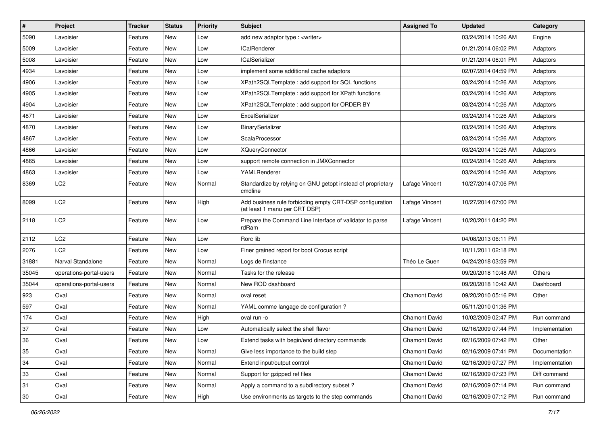| $\pmb{\#}$ | <b>Project</b>          | Tracker | <b>Status</b> | <b>Priority</b> | <b>Subject</b>                                                                            | <b>Assigned To</b>   | <b>Updated</b>      | Category       |
|------------|-------------------------|---------|---------------|-----------------|-------------------------------------------------------------------------------------------|----------------------|---------------------|----------------|
| 5090       | Lavoisier               | Feature | New           | Low             | add new adaptor type : <writer></writer>                                                  |                      | 03/24/2014 10:26 AM | Engine         |
| 5009       | Lavoisier               | Feature | <b>New</b>    | Low             | <b>ICalRenderer</b>                                                                       |                      | 01/21/2014 06:02 PM | Adaptors       |
| 5008       | Lavoisier               | Feature | New           | Low             | <b>ICalSerializer</b>                                                                     |                      | 01/21/2014 06:01 PM | Adaptors       |
| 4934       | Lavoisier               | Feature | <b>New</b>    | Low             | implement some additional cache adaptors                                                  |                      | 02/07/2014 04:59 PM | Adaptors       |
| 4906       | Lavoisier               | Feature | New           | Low             | XPath2SQLTemplate : add support for SQL functions                                         |                      | 03/24/2014 10:26 AM | Adaptors       |
| 4905       | Lavoisier               | Feature | New           | Low             | XPath2SQLTemplate: add support for XPath functions                                        |                      | 03/24/2014 10:26 AM | Adaptors       |
| 4904       | Lavoisier               | Feature | <b>New</b>    | Low             | XPath2SQLTemplate : add support for ORDER BY                                              |                      | 03/24/2014 10:26 AM | Adaptors       |
| 4871       | Lavoisier               | Feature | New           | Low             | ExcelSerializer                                                                           |                      | 03/24/2014 10:26 AM | Adaptors       |
| 4870       | Lavoisier               | Feature | New           | Low             | BinarySerializer                                                                          |                      | 03/24/2014 10:26 AM | Adaptors       |
| 4867       | Lavoisier               | Feature | New           | Low             | ScalaProcessor                                                                            |                      | 03/24/2014 10:26 AM | Adaptors       |
| 4866       | Lavoisier               | Feature | New           | Low             | <b>XQueryConnector</b>                                                                    |                      | 03/24/2014 10:26 AM | Adaptors       |
| 4865       | Lavoisier               | Feature | New           | Low             | support remote connection in JMXConnector                                                 |                      | 03/24/2014 10:26 AM | Adaptors       |
| 4863       | Lavoisier               | Feature | New           | Low             | YAMLRenderer                                                                              |                      | 03/24/2014 10:26 AM | Adaptors       |
| 8369       | LC2                     | Feature | New           | Normal          | Standardize by relying on GNU getopt instead of proprietary<br>cmdline                    | Lafage Vincent       | 10/27/2014 07:06 PM |                |
| 8099       | LC <sub>2</sub>         | Feature | New           | High            | Add business rule forbidding empty CRT-DSP configuration<br>(at least 1 manu per CRT DSP) | Lafage Vincent       | 10/27/2014 07:00 PM |                |
| 2118       | LC <sub>2</sub>         | Feature | New           | Low             | Prepare the Command Line Interface of validator to parse<br>rdRam                         | Lafage Vincent       | 10/20/2011 04:20 PM |                |
| 2112       | LC <sub>2</sub>         | Feature | New           | Low             | Rorc lib                                                                                  |                      | 04/08/2013 06:11 PM |                |
| 2076       | LC2                     | Feature | New           | Low             | Finer grained report for boot Crocus script                                               |                      | 10/11/2011 02:18 PM |                |
| 31881      | Narval Standalone       | Feature | New           | Normal          | Logs de l'instance                                                                        | Théo Le Guen         | 04/24/2018 03:59 PM |                |
| 35045      | operations-portal-users | Feature | <b>New</b>    | Normal          | Tasks for the release                                                                     |                      | 09/20/2018 10:48 AM | <b>Others</b>  |
| 35044      | operations-portal-users | Feature | New           | Normal          | New ROD dashboard                                                                         |                      | 09/20/2018 10:42 AM | Dashboard      |
| 923        | Oval                    | Feature | <b>New</b>    | Normal          | oval reset                                                                                | <b>Chamont David</b> | 09/20/2010 05:16 PM | Other          |
| 597        | Oval                    | Feature | New           | Normal          | YAML comme langage de configuration ?                                                     |                      | 05/11/2010 01:36 PM |                |
| 174        | Oval                    | Feature | New           | High            | oval run -o                                                                               | <b>Chamont David</b> | 10/02/2009 02:47 PM | Run command    |
| 37         | Oval                    | Feature | <b>New</b>    | Low             | Automatically select the shell flavor                                                     | <b>Chamont David</b> | 02/16/2009 07:44 PM | Implementation |
| 36         | Oval                    | Feature | New           | Low             | Extend tasks with begin/end directory commands                                            | Chamont David        | 02/16/2009 07:42 PM | Other          |
| 35         | Oval                    | Feature | New           | Normal          | Give less importance to the build step                                                    | Chamont David        | 02/16/2009 07:41 PM | Documentation  |
| 34         | Oval                    | Feature | New           | Normal          | Extend input/output control                                                               | Chamont David        | 02/16/2009 07:27 PM | Implementation |
| 33         | Oval                    | Feature | New           | Normal          | Support for gzipped ref files                                                             | Chamont David        | 02/16/2009 07:23 PM | Diff command   |
| 31         | Oval                    | Feature | New           | Normal          | Apply a command to a subdirectory subset?                                                 | Chamont David        | 02/16/2009 07:14 PM | Run command    |
| 30         | Oval                    | Feature | New           | High            | Use environments as targets to the step commands                                          | Chamont David        | 02/16/2009 07:12 PM | Run command    |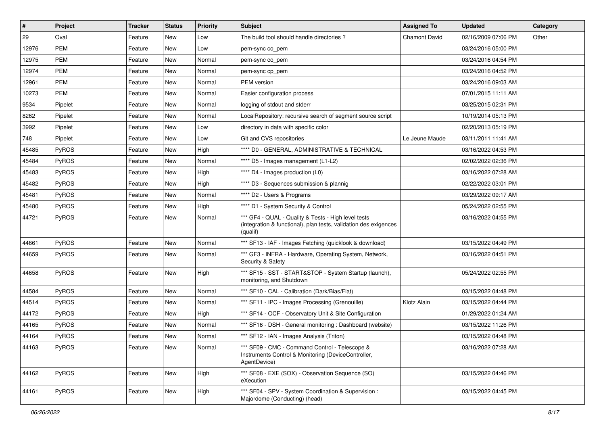| $\vert$ # | Project    | <b>Tracker</b> | <b>Status</b> | <b>Priority</b> | <b>Subject</b>                                                                                                                      | <b>Assigned To</b>   | <b>Updated</b>      | Category |
|-----------|------------|----------------|---------------|-----------------|-------------------------------------------------------------------------------------------------------------------------------------|----------------------|---------------------|----------|
| 29        | Oval       | Feature        | New           | Low             | The build tool should handle directories?                                                                                           | <b>Chamont David</b> | 02/16/2009 07:06 PM | Other    |
| 12976     | <b>PEM</b> | Feature        | <b>New</b>    | Low             | pem-sync co_pem                                                                                                                     |                      | 03/24/2016 05:00 PM |          |
| 12975     | PEM        | Feature        | New           | Normal          | pem-sync co_pem                                                                                                                     |                      | 03/24/2016 04:54 PM |          |
| 12974     | <b>PEM</b> | Feature        | New           | Normal          | pem-sync cp_pem                                                                                                                     |                      | 03/24/2016 04:52 PM |          |
| 12961     | PEM        | Feature        | New           | Normal          | <b>PEM</b> version                                                                                                                  |                      | 03/24/2016 09:03 AM |          |
| 10273     | PEM        | Feature        | New           | Normal          | Easier configuration process                                                                                                        |                      | 07/01/2015 11:11 AM |          |
| 9534      | Pipelet    | Feature        | New           | Normal          | logging of stdout and stderr                                                                                                        |                      | 03/25/2015 02:31 PM |          |
| 8262      | Pipelet    | Feature        | New           | Normal          | LocalRepository: recursive search of segment source script                                                                          |                      | 10/19/2014 05:13 PM |          |
| 3992      | Pipelet    | Feature        | New           | Low             | directory in data with specific color                                                                                               |                      | 02/20/2013 05:19 PM |          |
| 748       | Pipelet    | Feature        | New           | Low             | Git and CVS repositories                                                                                                            | Le Jeune Maude       | 03/11/2011 11:41 AM |          |
| 45485     | PyROS      | Feature        | New           | High            | **** D0 - GENERAL, ADMINISTRATIVE & TECHNICAL                                                                                       |                      | 03/16/2022 04:53 PM |          |
| 45484     | PyROS      | Feature        | New           | Normal          | **** D5 - Images management (L1-L2)                                                                                                 |                      | 02/02/2022 02:36 PM |          |
| 45483     | PyROS      | Feature        | New           | High            | **** D4 - Images production (L0)                                                                                                    |                      | 03/16/2022 07:28 AM |          |
| 45482     | PyROS      | Feature        | New           | High            | **** D3 - Sequences submission & plannig                                                                                            |                      | 02/22/2022 03:01 PM |          |
| 45481     | PyROS      | Feature        | New           | Normal          | **** D2 - Users & Programs                                                                                                          |                      | 03/29/2022 09:17 AM |          |
| 45480     | PyROS      | Feature        | New           | High            | **** D1 - System Security & Control                                                                                                 |                      | 05/24/2022 02:55 PM |          |
| 44721     | PyROS      | Feature        | New           | Normal          | *** GF4 - QUAL - Quality & Tests - High level tests<br>(integration & functional), plan tests, validation des exigences<br>(qualif) |                      | 03/16/2022 04:55 PM |          |
| 44661     | PyROS      | Feature        | New           | Normal          | *** SF13 - IAF - Images Fetching (quicklook & download)                                                                             |                      | 03/15/2022 04:49 PM |          |
| 44659     | PyROS      | Feature        | New           | Normal          | *** GF3 - INFRA - Hardware, Operating System, Network,<br>Security & Safety                                                         |                      | 03/16/2022 04:51 PM |          |
| 44658     | PyROS      | Feature        | New           | High            | *** SF15 - SST - START&STOP - System Startup (launch),<br>monitoring, and Shutdown                                                  |                      | 05/24/2022 02:55 PM |          |
| 44584     | PyROS      | Feature        | New           | Normal          | *** SF10 - CAL - Calibration (Dark/Bias/Flat)                                                                                       |                      | 03/15/2022 04:48 PM |          |
| 44514     | PyROS      | Feature        | New           | Normal          | *** SF11 - IPC - Images Processing (Grenouille)                                                                                     | Klotz Alain          | 03/15/2022 04:44 PM |          |
| 44172     | PyROS      | Feature        | New           | High            | *** SF14 - OCF - Observatory Unit & Site Configuration                                                                              |                      | 01/29/2022 01:24 AM |          |
| 44165     | PyROS      | Feature        | New           | Normal          | *** SF16 - DSH - General monitoring : Dashboard (website)                                                                           |                      | 03/15/2022 11:26 PM |          |
| 44164     | PyROS      | Feature        | New           | Normal          | *** SF12 - IAN - Images Analysis (Triton)                                                                                           |                      | 03/15/2022 04:48 PM |          |
| 44163     | PyROS      | Feature        | New           | Normal          | *** SF09 - CMC - Command Control - Telescope &<br>Instruments Control & Monitoring (DeviceController,<br>AgentDevice)               |                      | 03/16/2022 07:28 AM |          |
| 44162     | PyROS      | Feature        | New           | High            | *** SF08 - EXE (SOX) - Observation Sequence (SO)<br>eXecution                                                                       |                      | 03/15/2022 04:46 PM |          |
| 44161     | PyROS      | Feature        | New           | High            | *** SF04 - SPV - System Coordination & Supervision :<br>Majordome (Conducting) (head)                                               |                      | 03/15/2022 04:45 PM |          |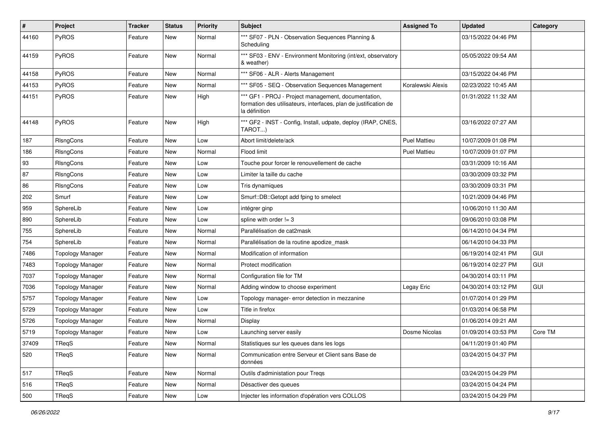| $\sharp$ | Project                 | <b>Tracker</b> | <b>Status</b> | <b>Priority</b> | <b>Subject</b>                                                                                                                           | <b>Assigned To</b>  | <b>Updated</b>      | Category   |
|----------|-------------------------|----------------|---------------|-----------------|------------------------------------------------------------------------------------------------------------------------------------------|---------------------|---------------------|------------|
| 44160    | PyROS                   | Feature        | New           | Normal          | *** SF07 - PLN - Observation Sequences Planning &<br>Scheduling                                                                          |                     | 03/15/2022 04:46 PM |            |
| 44159    | PyROS                   | Feature        | New           | Normal          | *** SF03 - ENV - Environment Monitoring (int/ext, observatory<br>& weather)                                                              |                     | 05/05/2022 09:54 AM |            |
| 44158    | PyROS                   | Feature        | New           | Normal          | *** SF06 - ALR - Alerts Management                                                                                                       |                     | 03/15/2022 04:46 PM |            |
| 44153    | PyROS                   | Feature        | New           | Normal          | *** SF05 - SEQ - Observation Sequences Management                                                                                        | Koralewski Alexis   | 02/23/2022 10:45 AM |            |
| 44151    | PyROS                   | Feature        | New           | High            | *** GF1 - PROJ - Project management, documentation,<br>formation des utilisateurs, interfaces, plan de justification de<br>la définition |                     | 01/31/2022 11:32 AM |            |
| 44148    | PyROS                   | Feature        | New           | High            | *** GF2 - INST - Config, Install, udpate, deploy (IRAP, CNES,<br>TAROT)                                                                  |                     | 03/16/2022 07:27 AM |            |
| 187      | RIsngCons               | Feature        | New           | Low             | Abort limit/delete/ack                                                                                                                   | <b>Puel Mattieu</b> | 10/07/2009 01:08 PM |            |
| 186      | RIsngCons               | Feature        | New           | Normal          | Flood limit                                                                                                                              | <b>Puel Mattieu</b> | 10/07/2009 01:07 PM |            |
| 93       | RIsngCons               | Feature        | New           | Low             | Touche pour forcer le renouvellement de cache                                                                                            |                     | 03/31/2009 10:16 AM |            |
| 87       | RIsngCons               | Feature        | New           | Low             | Limiter la taille du cache                                                                                                               |                     | 03/30/2009 03:32 PM |            |
| 86       | RIsngCons               | Feature        | New           | Low             | Tris dynamiques                                                                                                                          |                     | 03/30/2009 03:31 PM |            |
| 202      | Smurf                   | Feature        | New           | Low             | Smurf::DB::Getopt add fping to smelect                                                                                                   |                     | 10/21/2009 04:46 PM |            |
| 959      | SphereLib               | Feature        | New           | Low             | intégrer ginp                                                                                                                            |                     | 10/06/2010 11:30 AM |            |
| 890      | SphereLib               | Feature        | New           | Low             | spline with order != 3                                                                                                                   |                     | 09/06/2010 03:08 PM |            |
| 755      | SphereLib               | Feature        | New           | Normal          | Parallélisation de cat2mask                                                                                                              |                     | 06/14/2010 04:34 PM |            |
| 754      | SphereLib               | Feature        | New           | Normal          | Parallélisation de la routine apodize_mask                                                                                               |                     | 06/14/2010 04:33 PM |            |
| 7486     | <b>Topology Manager</b> | Feature        | New           | Normal          | Modification of information                                                                                                              |                     | 06/19/2014 02:41 PM | <b>GUI</b> |
| 7483     | <b>Topology Manager</b> | Feature        | New           | Normal          | Protect modification                                                                                                                     |                     | 06/19/2014 02:27 PM | GUI        |
| 7037     | <b>Topology Manager</b> | Feature        | New           | Normal          | Configuration file for TM                                                                                                                |                     | 04/30/2014 03:11 PM |            |
| 7036     | <b>Topology Manager</b> | Feature        | New           | Normal          | Adding window to choose experiment                                                                                                       | Legay Eric          | 04/30/2014 03:12 PM | <b>GUI</b> |
| 5757     | <b>Topology Manager</b> | Feature        | New           | Low             | Topology manager- error detection in mezzanine                                                                                           |                     | 01/07/2014 01:29 PM |            |
| 5729     | <b>Topology Manager</b> | Feature        | New           | Low             | Title in firefox                                                                                                                         |                     | 01/03/2014 06:58 PM |            |
| 5726     | <b>Topology Manager</b> | Feature        | New           | Normal          | Display                                                                                                                                  |                     | 01/06/2014 09:21 AM |            |
| 5719     | <b>Topology Manager</b> | Feature        | New           | Low             | Launching server easily                                                                                                                  | Dosme Nicolas       | 01/09/2014 03:53 PM | Core TM    |
| 37409    | TReqS                   | Feature        | New           | Normal          | Statistiques sur les queues dans les logs                                                                                                |                     | 04/11/2019 01:40 PM |            |
| 520      | TReqS                   | Feature        | New           | Normal          | Communication entre Serveur et Client sans Base de<br>données                                                                            |                     | 03/24/2015 04:37 PM |            |
| 517      | TReqS                   | Feature        | New           | Normal          | Outils d'administation pour Treqs                                                                                                        |                     | 03/24/2015 04:29 PM |            |
| 516      | TReqS                   | Feature        | New           | Normal          | Désactiver des queues                                                                                                                    |                     | 03/24/2015 04:24 PM |            |
| 500      | TReqS                   | Feature        | New           | Low             | Injecter les information d'opération vers COLLOS                                                                                         |                     | 03/24/2015 04:29 PM |            |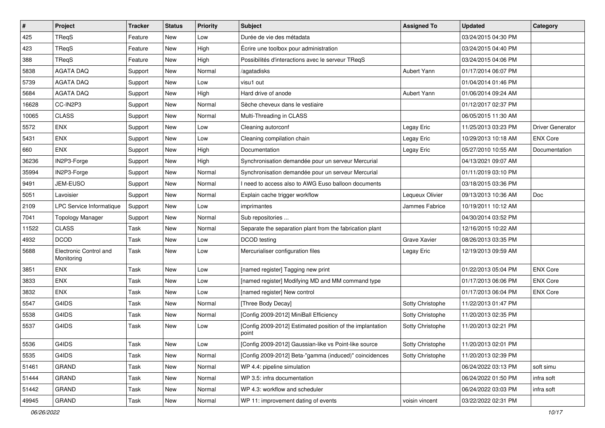| $\pmb{\#}$ | Project                              | <b>Tracker</b> | <b>Status</b> | <b>Priority</b> | <b>Subject</b>                                                     | <b>Assigned To</b> | <b>Updated</b>      | Category                |
|------------|--------------------------------------|----------------|---------------|-----------------|--------------------------------------------------------------------|--------------------|---------------------|-------------------------|
| 425        | TReqS                                | Feature        | New           | Low             | Durée de vie des métadata                                          |                    | 03/24/2015 04:30 PM |                         |
| 423        | TReqS                                | Feature        | <b>New</b>    | High            | Écrire une toolbox pour administration                             |                    | 03/24/2015 04:40 PM |                         |
| 388        | TReqS                                | Feature        | New           | High            | Possibilités d'interactions avec le serveur TReqS                  |                    | 03/24/2015 04:06 PM |                         |
| 5838       | <b>AGATA DAQ</b>                     | Support        | New           | Normal          | /agatadisks                                                        | Aubert Yann        | 01/17/2014 06:07 PM |                         |
| 5739       | <b>AGATA DAQ</b>                     | Support        | New           | Low             | visu1 out                                                          |                    | 01/04/2014 01:46 PM |                         |
| 5684       | <b>AGATA DAQ</b>                     | Support        | New           | High            | Hard drive of anode                                                | Aubert Yann        | 01/06/2014 09:24 AM |                         |
| 16628      | CC-IN2P3                             | Support        | New           | Normal          | Sèche cheveux dans le vestiaire                                    |                    | 01/12/2017 02:37 PM |                         |
| 10065      | <b>CLASS</b>                         | Support        | New           | Normal          | Multi-Threading in CLASS                                           |                    | 06/05/2015 11:30 AM |                         |
| 5572       | ENX                                  | Support        | New           | Low             | Cleaning autorconf                                                 | Legay Eric         | 11/25/2013 03:23 PM | <b>Driver Generator</b> |
| 5431       | ENX                                  | Support        | New           | Low             | Cleaning compilation chain                                         | Legay Eric         | 10/29/2013 10:18 AM | <b>ENX Core</b>         |
| 660        | <b>ENX</b>                           | Support        | New           | High            | Documentation                                                      | Legay Eric         | 05/27/2010 10:55 AM | Documentation           |
| 36236      | IN2P3-Forge                          | Support        | New           | High            | Synchronisation demandée pour un serveur Mercurial                 |                    | 04/13/2021 09:07 AM |                         |
| 35994      | IN2P3-Forge                          | Support        | New           | Normal          | Synchronisation demandée pour un serveur Mercurial                 |                    | 01/11/2019 03:10 PM |                         |
| 9491       | JEM-EUSO                             | Support        | New           | Normal          | I need to access also to AWG Euso balloon documents                |                    | 03/18/2015 03:36 PM |                         |
| 5051       | Lavoisier                            | Support        | New           | Normal          | Explain cache trigger workflow                                     | Lequeux Olivier    | 09/13/2013 10:36 AM | Doc                     |
| 2109       | LPC Service Informatique             | Support        | New           | Low             | imprimantes                                                        | Jammes Fabrice     | 10/19/2011 10:12 AM |                         |
| 7041       | <b>Topology Manager</b>              | Support        | New           | Normal          | Sub repositories                                                   |                    | 04/30/2014 03:52 PM |                         |
| 11522      | <b>CLASS</b>                         | <b>Task</b>    | New           | Normal          | Separate the separation plant from the fabrication plant           |                    | 12/16/2015 10:22 AM |                         |
| 4932       | <b>DCOD</b>                          | Task           | New           | Low             | DCOD testing                                                       | Grave Xavier       | 08/26/2013 03:35 PM |                         |
| 5688       | Electronic Control and<br>Monitoring | Task           | <b>New</b>    | Low             | Mercurialiser configuration files                                  | Legay Eric         | 12/19/2013 09:59 AM |                         |
| 3851       | <b>ENX</b>                           | Task           | New           | Low             | [named register] Tagging new print                                 |                    | 01/22/2013 05:04 PM | <b>ENX Core</b>         |
| 3833       | ENX                                  | Task           | New           | Low             | [named register] Modifying MD and MM command type                  |                    | 01/17/2013 06:06 PM | <b>ENX Core</b>         |
| 3832       | <b>ENX</b>                           | Task           | New           | Low             | [named register] New control                                       |                    | 01/17/2013 06:04 PM | <b>ENX Core</b>         |
| 5547       | G4IDS                                | Task           | New           | Normal          | [Three Body Decay]                                                 | Sotty Christophe   | 11/22/2013 01:47 PM |                         |
| 5538       | G4IDS                                | Task           | New           | Normal          | [Config 2009-2012] MiniBall Efficiency                             | Sotty Christophe   | 11/20/2013 02:35 PM |                         |
| 5537       | G4IDS                                | Task           | New           | Low             | [Config 2009-2012] Estimated position of the implantation<br>point | Sotty Christophe   | 11/20/2013 02:21 PM |                         |
| 5536       | G4IDS                                | Task           | New           | Low             | [Config 2009-2012] Gaussian-like vs Point-like source              | Sotty Christophe   | 11/20/2013 02:01 PM |                         |
| 5535       | G4IDS                                | Task           | New           | Normal          | [Config 2009-2012] Beta-"gamma (induced)" coincidences             | Sotty Christophe   | 11/20/2013 02:39 PM |                         |
| 51461      | GRAND                                | Task           | New           | Normal          | WP 4.4: pipeline simulation                                        |                    | 06/24/2022 03:13 PM | soft simu               |
| 51444      | <b>GRAND</b>                         | Task           | New           | Normal          | WP 3.5: infra documentation                                        |                    | 06/24/2022 01:50 PM | infra soft              |
| 51442      | <b>GRAND</b>                         | Task           | New           | Normal          | WP 4.3: workflow and scheduler                                     |                    | 06/24/2022 03:03 PM | infra soft              |
| 49945      | GRAND                                | Task           | New           | Normal          | WP 11: improvement dating of events                                | voisin vincent     | 03/22/2022 02:31 PM |                         |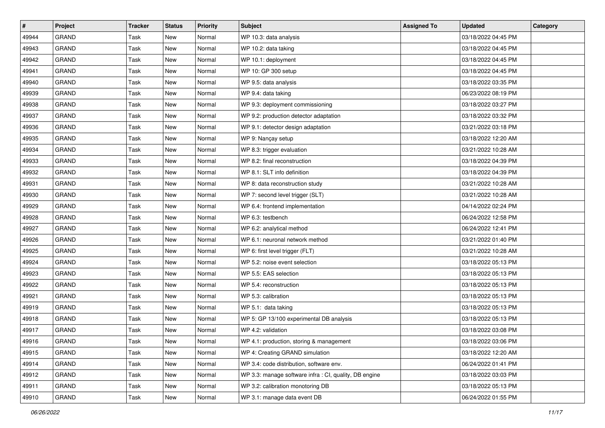| #     | Project      | <b>Tracker</b> | <b>Status</b> | <b>Priority</b> | <b>Subject</b>                                         | <b>Assigned To</b> | <b>Updated</b>      | Category |
|-------|--------------|----------------|---------------|-----------------|--------------------------------------------------------|--------------------|---------------------|----------|
| 49944 | <b>GRAND</b> | <b>Task</b>    | New           | Normal          | WP 10.3: data analysis                                 |                    | 03/18/2022 04:45 PM |          |
| 49943 | <b>GRAND</b> | <b>Task</b>    | <b>New</b>    | Normal          | WP 10.2: data taking                                   |                    | 03/18/2022 04:45 PM |          |
| 49942 | <b>GRAND</b> | Task           | New           | Normal          | WP 10.1: deployment                                    |                    | 03/18/2022 04:45 PM |          |
| 49941 | <b>GRAND</b> | <b>Task</b>    | New           | Normal          | WP 10: GP 300 setup                                    |                    | 03/18/2022 04:45 PM |          |
| 49940 | <b>GRAND</b> | Task           | New           | Normal          | WP 9.5: data analysis                                  |                    | 03/18/2022 03:35 PM |          |
| 49939 | <b>GRAND</b> | Task           | New           | Normal          | WP 9.4: data taking                                    |                    | 06/23/2022 08:19 PM |          |
| 49938 | <b>GRAND</b> | <b>Task</b>    | New           | Normal          | WP 9.3: deployment commissioning                       |                    | 03/18/2022 03:27 PM |          |
| 49937 | <b>GRAND</b> | Task           | New           | Normal          | WP 9.2: production detector adaptation                 |                    | 03/18/2022 03:32 PM |          |
| 49936 | <b>GRAND</b> | Task           | New           | Normal          | WP 9.1: detector design adaptation                     |                    | 03/21/2022 03:18 PM |          |
| 49935 | GRAND        | Task           | New           | Normal          | WP 9: Nançay setup                                     |                    | 03/18/2022 12:20 AM |          |
| 49934 | <b>GRAND</b> | <b>Task</b>    | New           | Normal          | WP 8.3: trigger evaluation                             |                    | 03/21/2022 10:28 AM |          |
| 49933 | <b>GRAND</b> | Task           | New           | Normal          | WP 8.2: final reconstruction                           |                    | 03/18/2022 04:39 PM |          |
| 49932 | <b>GRAND</b> | <b>Task</b>    | New           | Normal          | WP 8.1: SLT info definition                            |                    | 03/18/2022 04:39 PM |          |
| 49931 | <b>GRAND</b> | Task           | New           | Normal          | WP 8: data reconstruction study                        |                    | 03/21/2022 10:28 AM |          |
| 49930 | <b>GRAND</b> | <b>Task</b>    | New           | Normal          | WP 7: second level trigger (SLT)                       |                    | 03/21/2022 10:28 AM |          |
| 49929 | <b>GRAND</b> | Task           | New           | Normal          | WP 6.4: frontend implementation                        |                    | 04/14/2022 02:24 PM |          |
| 49928 | <b>GRAND</b> | <b>Task</b>    | New           | Normal          | WP 6.3: testbench                                      |                    | 06/24/2022 12:58 PM |          |
| 49927 | GRAND        | Task           | New           | Normal          | WP 6.2: analytical method                              |                    | 06/24/2022 12:41 PM |          |
| 49926 | <b>GRAND</b> | Task           | New           | Normal          | WP 6.1: neuronal network method                        |                    | 03/21/2022 01:40 PM |          |
| 49925 | <b>GRAND</b> | <b>Task</b>    | <b>New</b>    | Normal          | WP 6: first level trigger (FLT)                        |                    | 03/21/2022 10:28 AM |          |
| 49924 | <b>GRAND</b> | Task           | New           | Normal          | WP 5.2: noise event selection                          |                    | 03/18/2022 05:13 PM |          |
| 49923 | <b>GRAND</b> | <b>Task</b>    | New           | Normal          | WP 5.5: EAS selection                                  |                    | 03/18/2022 05:13 PM |          |
| 49922 | <b>GRAND</b> | Task           | New           | Normal          | WP 5.4: reconstruction                                 |                    | 03/18/2022 05:13 PM |          |
| 49921 | <b>GRAND</b> | Task           | New           | Normal          | WP 5.3: calibration                                    |                    | 03/18/2022 05:13 PM |          |
| 49919 | <b>GRAND</b> | <b>Task</b>    | New           | Normal          | WP 5.1: data taking                                    |                    | 03/18/2022 05:13 PM |          |
| 49918 | <b>GRAND</b> | Task           | New           | Normal          | WP 5: GP 13/100 experimental DB analysis               |                    | 03/18/2022 05:13 PM |          |
| 49917 | <b>GRAND</b> | Task           | New           | Normal          | WP 4.2: validation                                     |                    | 03/18/2022 03:08 PM |          |
| 49916 | GRAND        | Task           | New           | Normal          | WP 4.1: production, storing & management               |                    | 03/18/2022 03:06 PM |          |
| 49915 | GRAND        | Task           | New           | Normal          | WP 4: Creating GRAND simulation                        |                    | 03/18/2022 12:20 AM |          |
| 49914 | <b>GRAND</b> | Task           | New           | Normal          | WP 3.4: code distribution, software env.               |                    | 06/24/2022 01:41 PM |          |
| 49912 | GRAND        | Task           | New           | Normal          | WP 3.3: manage software infra : CI, quality, DB engine |                    | 03/18/2022 03:03 PM |          |
| 49911 | GRAND        | Task           | New           | Normal          | WP 3.2: calibration monotoring DB                      |                    | 03/18/2022 05:13 PM |          |
| 49910 | GRAND        | Task           | New           | Normal          | WP 3.1: manage data event DB                           |                    | 06/24/2022 01:55 PM |          |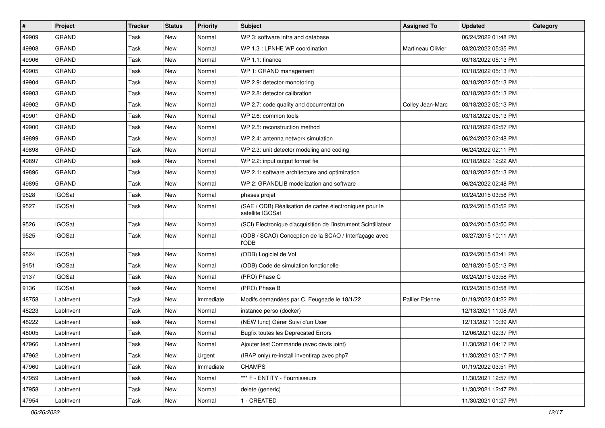| #     | Project       | <b>Tracker</b> | <b>Status</b> | Priority  | <b>Subject</b>                                                              | <b>Assigned To</b> | <b>Updated</b>      | Category |
|-------|---------------|----------------|---------------|-----------|-----------------------------------------------------------------------------|--------------------|---------------------|----------|
| 49909 | <b>GRAND</b>  | Task           | New           | Normal    | WP 3: software infra and database                                           |                    | 06/24/2022 01:48 PM |          |
| 49908 | <b>GRAND</b>  | Task           | <b>New</b>    | Normal    | WP 1.3 : LPNHE WP coordination                                              | Martineau Olivier  | 03/20/2022 05:35 PM |          |
| 49906 | <b>GRAND</b>  | Task           | New           | Normal    | WP 1.1: finance                                                             |                    | 03/18/2022 05:13 PM |          |
| 49905 | <b>GRAND</b>  | Task           | New           | Normal    | WP 1: GRAND management                                                      |                    | 03/18/2022 05:13 PM |          |
| 49904 | <b>GRAND</b>  | Task           | New           | Normal    | WP 2.9: detector monotoring                                                 |                    | 03/18/2022 05:13 PM |          |
| 49903 | <b>GRAND</b>  | Task           | New           | Normal    | WP 2.8: detector calibration                                                |                    | 03/18/2022 05:13 PM |          |
| 49902 | <b>GRAND</b>  | Task           | New           | Normal    | WP 2.7: code quality and documentation                                      | Colley Jean-Marc   | 03/18/2022 05:13 PM |          |
| 49901 | <b>GRAND</b>  | Task           | New           | Normal    | WP 2.6: common tools                                                        |                    | 03/18/2022 05:13 PM |          |
| 49900 | <b>GRAND</b>  | Task           | New           | Normal    | WP 2.5: reconstruction method                                               |                    | 03/18/2022 02:57 PM |          |
| 49899 | <b>GRAND</b>  | Task           | New           | Normal    | WP 2.4: antenna network simulation                                          |                    | 06/24/2022 02:48 PM |          |
| 49898 | <b>GRAND</b>  | Task           | New           | Normal    | WP 2.3: unit detector modeling and coding                                   |                    | 06/24/2022 02:11 PM |          |
| 49897 | <b>GRAND</b>  | Task           | New           | Normal    | WP 2.2: input output format fie                                             |                    | 03/18/2022 12:22 AM |          |
| 49896 | GRAND         | Task           | New           | Normal    | WP 2.1: software architecture and optimization                              |                    | 03/18/2022 05:13 PM |          |
| 49895 | <b>GRAND</b>  | Task           | New           | Normal    | WP 2: GRANDLIB modelization and software                                    |                    | 06/24/2022 02:48 PM |          |
| 9528  | <b>IGOSat</b> | Task           | New           | Normal    | phases projet                                                               |                    | 03/24/2015 03:58 PM |          |
| 9527  | <b>IGOSat</b> | Task           | New           | Normal    | (SAE / ODB) Réalisation de cartes électroniques pour le<br>satellite IGOSat |                    | 03/24/2015 03:52 PM |          |
| 9526  | <b>IGOSat</b> | Task           | New           | Normal    | (SCI) Electronique d'acquisition de l'instrument Scintillateur              |                    | 03/24/2015 03:50 PM |          |
| 9525  | <b>IGOSat</b> | Task           | New           | Normal    | (ODB / SCAO) Conception de la SCAO / Interfaçage avec<br>l'ODB              |                    | 03/27/2015 10:11 AM |          |
| 9524  | <b>IGOSat</b> | Task           | New           | Normal    | (ODB) Logiciel de Vol                                                       |                    | 03/24/2015 03:41 PM |          |
| 9151  | <b>IGOSat</b> | Task           | New           | Normal    | (ODB) Code de simulation fonctionelle                                       |                    | 02/18/2015 05:13 PM |          |
| 9137  | <b>IGOSat</b> | Task           | New           | Normal    | (PRO) Phase C                                                               |                    | 03/24/2015 03:58 PM |          |
| 9136  | <b>IGOSat</b> | Task           | New           | Normal    | (PRO) Phase B                                                               |                    | 03/24/2015 03:58 PM |          |
| 48758 | Lablnvent     | Task           | New           | Immediate | Modifs demandées par C. Feugeade le 18/1/22                                 | Pallier Etienne    | 01/19/2022 04:22 PM |          |
| 48223 | Lablnvent     | Task           | New           | Normal    | instance perso (docker)                                                     |                    | 12/13/2021 11:08 AM |          |
| 48222 | LabInvent     | Task           | New           | Normal    | (NEW func) Gérer Suivi d'un User                                            |                    | 12/13/2021 10:39 AM |          |
| 48005 | LabInvent     | Task           | <b>New</b>    | Normal    | <b>Bugfix toutes les Deprecated Errors</b>                                  |                    | 12/06/2021 02:37 PM |          |
| 47966 | LabInvent     | Task           | New           | Normal    | Ajouter test Commande (avec devis joint)                                    |                    | 11/30/2021 04:17 PM |          |
| 47962 | LabInvent     | Task           | New           | Urgent    | (IRAP only) re-install inventirap avec php7                                 |                    | 11/30/2021 03:17 PM |          |
| 47960 | LabInvent     | Task           | New           | Immediate | <b>CHAMPS</b>                                                               |                    | 01/19/2022 03:51 PM |          |
| 47959 | LabInvent     | Task           | New           | Normal    | *** F - ENTITY - Fournisseurs                                               |                    | 11/30/2021 12:57 PM |          |
| 47958 | LabInvent     | Task           | New           | Normal    | delete (generic)                                                            |                    | 11/30/2021 12:47 PM |          |
| 47954 | LabInvent     | Task           | New           | Normal    | 1 - CREATED                                                                 |                    | 11/30/2021 01:27 PM |          |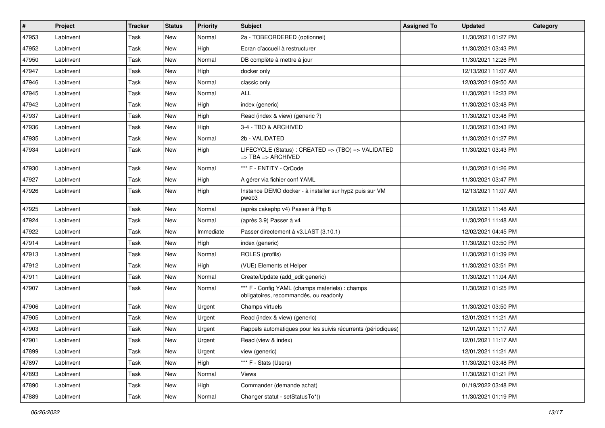| #     | Project   | <b>Tracker</b> | <b>Status</b> | <b>Priority</b> | <b>Subject</b>                                                                                 | <b>Assigned To</b> | <b>Updated</b>      | Category |
|-------|-----------|----------------|---------------|-----------------|------------------------------------------------------------------------------------------------|--------------------|---------------------|----------|
| 47953 | LabInvent | Task           | New           | Normal          | 2a - TOBEORDERED (optionnel)                                                                   |                    | 11/30/2021 01:27 PM |          |
| 47952 | Lablnvent | Task           | New           | High            | Ecran d'accueil à restructurer                                                                 |                    | 11/30/2021 03:43 PM |          |
| 47950 | Lablnvent | Task           | New           | Normal          | DB complète à mettre à jour                                                                    |                    | 11/30/2021 12:26 PM |          |
| 47947 | Lablnvent | Task           | New           | High            | docker only                                                                                    |                    | 12/13/2021 11:07 AM |          |
| 47946 | Lablnvent | Task           | New           | Normal          | classic only                                                                                   |                    | 12/03/2021 09:50 AM |          |
| 47945 | LabInvent | Task           | New           | Normal          | <b>ALL</b>                                                                                     |                    | 11/30/2021 12:23 PM |          |
| 47942 | Lablnvent | Task           | New           | High            | index (generic)                                                                                |                    | 11/30/2021 03:48 PM |          |
| 47937 | LabInvent | Task           | New           | High            | Read (index & view) (generic ?)                                                                |                    | 11/30/2021 03:48 PM |          |
| 47936 | Lablnvent | Task           | New           | High            | 3-4 - TBO & ARCHIVED                                                                           |                    | 11/30/2021 03:43 PM |          |
| 47935 | Lablnvent | Task           | New           | Normal          | 2b - VALIDATED                                                                                 |                    | 11/30/2021 01:27 PM |          |
| 47934 | LabInvent | Task           | New           | High            | LIFECYCLE (Status) : CREATED => (TBO) => VALIDATED<br>$\Rightarrow$ TBA $\Rightarrow$ ARCHIVED |                    | 11/30/2021 03:43 PM |          |
| 47930 | Lablnvent | Task           | New           | Normal          | *** F - ENTITY - QrCode                                                                        |                    | 11/30/2021 01:26 PM |          |
| 47927 | Lablnvent | Task           | New           | High            | A gérer via fichier conf YAML                                                                  |                    | 11/30/2021 03:47 PM |          |
| 47926 | LabInvent | Task           | New           | High            | Instance DEMO docker - à installer sur hyp2 puis sur VM<br>pweb3                               |                    | 12/13/2021 11:07 AM |          |
| 47925 | LabInvent | Task           | New           | Normal          | (après cakephp v4) Passer à Php 8                                                              |                    | 11/30/2021 11:48 AM |          |
| 47924 | Lablnvent | Task           | New           | Normal          | (après 3.9) Passer à v4                                                                        |                    | 11/30/2021 11:48 AM |          |
| 47922 | LabInvent | Task           | New           | Immediate       | Passer directement à v3.LAST (3.10.1)                                                          |                    | 12/02/2021 04:45 PM |          |
| 47914 | Lablnvent | Task           | New           | High            | index (generic)                                                                                |                    | 11/30/2021 03:50 PM |          |
| 47913 | Lablnvent | Task           | New           | Normal          | ROLES (profils)                                                                                |                    | 11/30/2021 01:39 PM |          |
| 47912 | Lablnvent | Task           | New           | High            | (VUE) Elements et Helper                                                                       |                    | 11/30/2021 03:51 PM |          |
| 47911 | LabInvent | Task           | New           | Normal          | Create/Update (add_edit generic)                                                               |                    | 11/30/2021 11:04 AM |          |
| 47907 | LabInvent | Task           | New           | Normal          | *** F - Config YAML (champs materiels) : champs<br>obligatoires, recommandés, ou readonly      |                    | 11/30/2021 01:25 PM |          |
| 47906 | LabInvent | Task           | New           | Urgent          | Champs virtuels                                                                                |                    | 11/30/2021 03:50 PM |          |
| 47905 | LabInvent | Task           | New           | Urgent          | Read (index & view) (generic)                                                                  |                    | 12/01/2021 11:21 AM |          |
| 47903 | LabInvent | Task           | New           | Urgent          | Rappels automatiques pour les suivis récurrents (périodiques)                                  |                    | 12/01/2021 11:17 AM |          |
| 47901 | LabInvent | Task           | New           | Urgent          | Read (view & index)                                                                            |                    | 12/01/2021 11:17 AM |          |
| 47899 | Lablnvent | Task           | New           | Urgent          | view (generic)                                                                                 |                    | 12/01/2021 11:21 AM |          |
| 47897 | Lablnvent | Task           | New           | High            | *** F - Stats (Users)                                                                          |                    | 11/30/2021 03:48 PM |          |
| 47893 | LabInvent | Task           | New           | Normal          | Views                                                                                          |                    | 11/30/2021 01:21 PM |          |
| 47890 | LabInvent | Task           | New           | High            | Commander (demande achat)                                                                      |                    | 01/19/2022 03:48 PM |          |
| 47889 | Lablnvent | Task           | New           | Normal          | Changer statut - setStatusTo*()                                                                |                    | 11/30/2021 01:19 PM |          |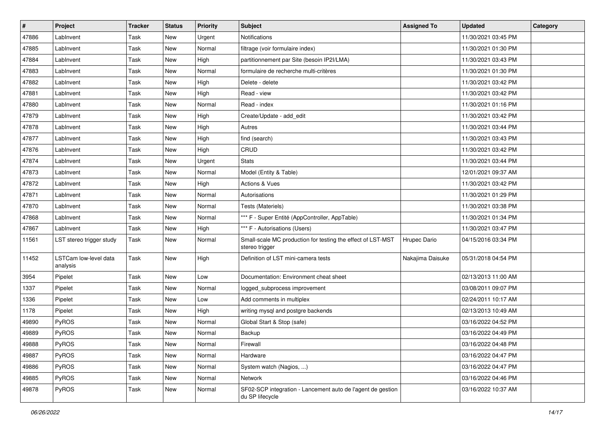| #     | Project                           | <b>Tracker</b> | <b>Status</b> | <b>Priority</b> | Subject                                                                        | <b>Assigned To</b> | <b>Updated</b>      | Category |
|-------|-----------------------------------|----------------|---------------|-----------------|--------------------------------------------------------------------------------|--------------------|---------------------|----------|
| 47886 | LabInvent                         | Task           | New           | Urgent          | Notifications                                                                  |                    | 11/30/2021 03:45 PM |          |
| 47885 | Lablnvent                         | Task           | <b>New</b>    | Normal          | filtrage (voir formulaire index)                                               |                    | 11/30/2021 01:30 PM |          |
| 47884 | Lablnvent                         | Task           | New           | High            | partitionnement par Site (besoin IP2I/LMA)                                     |                    | 11/30/2021 03:43 PM |          |
| 47883 | Lablnvent                         | Task           | New           | Normal          | formulaire de recherche multi-critères                                         |                    | 11/30/2021 01:30 PM |          |
| 47882 | Lablnvent                         | Task           | New           | High            | Delete - delete                                                                |                    | 11/30/2021 03:42 PM |          |
| 47881 | LabInvent                         | Task           | New           | High            | Read - view                                                                    |                    | 11/30/2021 03:42 PM |          |
| 47880 | Lablnvent                         | Task           | New           | Normal          | Read - index                                                                   |                    | 11/30/2021 01:16 PM |          |
| 47879 | Lablnvent                         | Task           | New           | High            | Create/Update - add edit                                                       |                    | 11/30/2021 03:42 PM |          |
| 47878 | LabInvent                         | Task           | New           | High            | Autres                                                                         |                    | 11/30/2021 03:44 PM |          |
| 47877 | LabInvent                         | Task           | New           | High            | find (search)                                                                  |                    | 11/30/2021 03:43 PM |          |
| 47876 | LabInvent                         | Task           | New           | High            | CRUD                                                                           |                    | 11/30/2021 03:42 PM |          |
| 47874 | Lablnvent                         | Task           | New           | Urgent          | <b>Stats</b>                                                                   |                    | 11/30/2021 03:44 PM |          |
| 47873 | Lablnvent                         | Task           | New           | Normal          | Model (Entity & Table)                                                         |                    | 12/01/2021 09:37 AM |          |
| 47872 | LabInvent                         | Task           | New           | High            | <b>Actions &amp; Vues</b>                                                      |                    | 11/30/2021 03:42 PM |          |
| 47871 | LabInvent                         | Task           | New           | Normal          | Autorisations                                                                  |                    | 11/30/2021 01:29 PM |          |
| 47870 | Lablnvent                         | Task           | New           | Normal          | Tests (Materiels)                                                              |                    | 11/30/2021 03:38 PM |          |
| 47868 | Lablnvent                         | Task           | New           | Normal          | *** F - Super Entité (AppController, AppTable)                                 |                    | 11/30/2021 01:34 PM |          |
| 47867 | LabInvent                         | Task           | New           | High            | *** F - Autorisations (Users)                                                  |                    | 11/30/2021 03:47 PM |          |
| 11561 | LST stereo trigger study          | Task           | New           | Normal          | Small-scale MC production for testing the effect of LST-MST<br>stereo trigger  | Hrupec Dario       | 04/15/2016 03:34 PM |          |
| 11452 | LSTCam low-level data<br>analysis | Task           | New           | High            | Definition of LST mini-camera tests                                            | Nakajima Daisuke   | 05/31/2018 04:54 PM |          |
| 3954  | Pipelet                           | Task           | New           | Low             | Documentation: Environment cheat sheet                                         |                    | 02/13/2013 11:00 AM |          |
| 1337  | Pipelet                           | Task           | New           | Normal          | logged_subprocess improvement                                                  |                    | 03/08/2011 09:07 PM |          |
| 1336  | Pipelet                           | Task           | New           | Low             | Add comments in multiplex                                                      |                    | 02/24/2011 10:17 AM |          |
| 1178  | Pipelet                           | Task           | New           | High            | writing mysql and postgre backends                                             |                    | 02/13/2013 10:49 AM |          |
| 49890 | PyROS                             | Task           | New           | Normal          | Global Start & Stop (safe)                                                     |                    | 03/16/2022 04:52 PM |          |
| 49889 | PyROS                             | Task           | New           | Normal          | Backup                                                                         |                    | 03/16/2022 04:49 PM |          |
| 49888 | PyROS                             | Task           | New           | Normal          | Firewall                                                                       |                    | 03/16/2022 04:48 PM |          |
| 49887 | PyROS                             | Task           | New           | Normal          | Hardware                                                                       |                    | 03/16/2022 04:47 PM |          |
| 49886 | PyROS                             | Task           | New           | Normal          | System watch (Nagios, )                                                        |                    | 03/16/2022 04:47 PM |          |
| 49885 | PyROS                             | Task           | New           | Normal          | Network                                                                        |                    | 03/16/2022 04:46 PM |          |
| 49878 | PyROS                             | Task           | New           | Normal          | SF02-SCP integration - Lancement auto de l'agent de gestion<br>du SP lifecycle |                    | 03/16/2022 10:37 AM |          |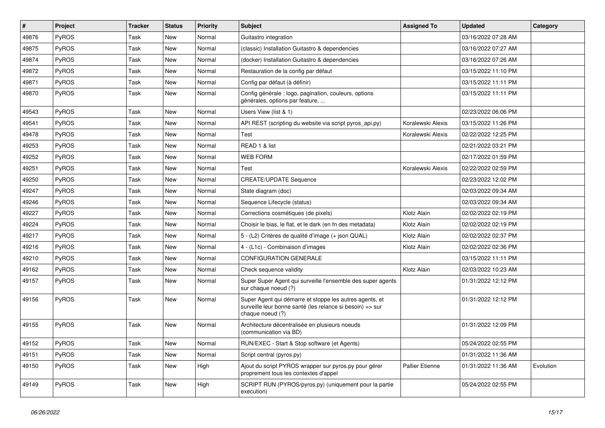| $\vert$ # | Project | <b>Tracker</b> | <b>Status</b> | Priority | Subject                                                                                                                                  | <b>Assigned To</b> | <b>Updated</b>      | Category  |
|-----------|---------|----------------|---------------|----------|------------------------------------------------------------------------------------------------------------------------------------------|--------------------|---------------------|-----------|
| 49876     | PyROS   | Task           | New           | Normal   | Guitastro integration                                                                                                                    |                    | 03/16/2022 07:28 AM |           |
| 49875     | PyROS   | Task           | New           | Normal   | (classic) Installation Guitastro & dependencies                                                                                          |                    | 03/16/2022 07:27 AM |           |
| 49874     | PyROS   | Task           | New           | Normal   | (docker) Installation Guitastro & dependencies                                                                                           |                    | 03/16/2022 07:26 AM |           |
| 49872     | PyROS   | Task           | New           | Normal   | Restauration de la config par défaut                                                                                                     |                    | 03/15/2022 11:10 PM |           |
| 49871     | PyROS   | Task           | New           | Normal   | Config par défaut (à définir)                                                                                                            |                    | 03/15/2022 11:11 PM |           |
| 49870     | PyROS   | Task           | New           | Normal   | Config générale : logo, pagination, couleurs, options<br>générales, options par feature,                                                 |                    | 03/15/2022 11:11 PM |           |
| 49543     | PyROS   | Task           | New           | Normal   | Users View (list & 1)                                                                                                                    |                    | 02/23/2022 06:06 PM |           |
| 49541     | PyROS   | Task           | New           | Normal   | API REST (scripting du website via script pyros_api.py)                                                                                  | Koralewski Alexis  | 03/15/2022 11:26 PM |           |
| 49478     | PyROS   | Task           | New           | Normal   | Test                                                                                                                                     | Koralewski Alexis  | 02/22/2022 12:25 PM |           |
| 49253     | PyROS   | Task           | New           | Normal   | READ 1 & list                                                                                                                            |                    | 02/21/2022 03:21 PM |           |
| 49252     | PyROS   | Task           | New           | Normal   | <b>WEB FORM</b>                                                                                                                          |                    | 02/17/2022 01:59 PM |           |
| 49251     | PyROS   | Task           | New           | Normal   | Test                                                                                                                                     | Koralewski Alexis  | 02/22/2022 02:59 PM |           |
| 49250     | PyROS   | Task           | New           | Normal   | <b>CREATE/UPDATE Sequence</b>                                                                                                            |                    | 02/23/2022 12:02 PM |           |
| 49247     | PyROS   | Task           | New           | Normal   | State diagram (doc)                                                                                                                      |                    | 02/03/2022 09:34 AM |           |
| 49246     | PyROS   | Task           | New           | Normal   | Sequence Lifecycle (status)                                                                                                              |                    | 02/03/2022 09:34 AM |           |
| 49227     | PyROS   | Task           | New           | Normal   | Corrections cosmétiques (de pixels)                                                                                                      | Klotz Alain        | 02/02/2022 02:19 PM |           |
| 49224     | PyROS   | Task           | New           | Normal   | Choisir le bias, le flat, et le dark (en fn des metadata)                                                                                | Klotz Alain        | 02/02/2022 02:19 PM |           |
| 49217     | PyROS   | Task           | New           | Normal   | 5 - (L2) Critères de qualité d'image (+ json QUAL)                                                                                       | Klotz Alain        | 02/02/2022 02:37 PM |           |
| 49216     | PyROS   | Task           | New           | Normal   | 4 - (L1c) - Combinaison d'images                                                                                                         | Klotz Alain        | 02/02/2022 02:36 PM |           |
| 49210     | PyROS   | Task           | New           | Normal   | <b>CONFIGURATION GENERALE</b>                                                                                                            |                    | 03/15/2022 11:11 PM |           |
| 49162     | PyROS   | Task           | New           | Normal   | Check sequence validity                                                                                                                  | Klotz Alain        | 02/03/2022 10:23 AM |           |
| 49157     | PyROS   | Task           | New           | Normal   | Super Super Agent qui surveille l'ensemble des super agents<br>sur chaque noeud (?)                                                      |                    | 01/31/2022 12:12 PM |           |
| 49156     | PyROS   | Task           | New           | Normal   | Super Agent qui démarre et stoppe les autres agents, et<br>surveille leur bonne santé (les relance si besoin) => sur<br>chaque noeud (?) |                    | 01/31/2022 12:12 PM |           |
| 49155     | PyROS   | Task           | New           | Normal   | Architecture décentralisée en plusieurs noeuds<br>(communication via BD)                                                                 |                    | 01/31/2022 12:09 PM |           |
| 49152     | PyROS   | Task           | New           | Normal   | RUN/EXEC - Start & Stop software (et Agents)                                                                                             |                    | 05/24/2022 02:55 PM |           |
| 49151     | PyROS   | Task           | New           | Normal   | Script central (pyros.py)                                                                                                                |                    | 01/31/2022 11:36 AM |           |
| 49150     | PyROS   | Task           | New           | High     | Ajout du script PYROS wrapper sur pyros.py pour gérer<br>proprement tous les contextes d'appel                                           | Pallier Etienne    | 01/31/2022 11:36 AM | Evolution |
| 49149     | PyROS   | Task           | New           | High     | SCRIPT RUN (PYROS/pyros.py) (uniquement pour la partie<br>execution)                                                                     |                    | 05/24/2022 02:55 PM |           |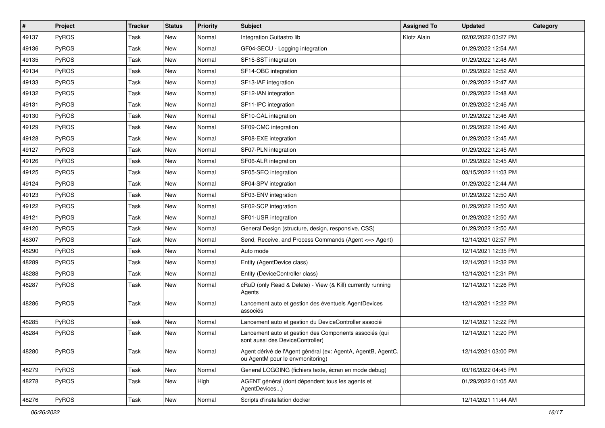| $\pmb{\#}$ | Project      | <b>Tracker</b> | <b>Status</b> | <b>Priority</b> | Subject                                                                                          | <b>Assigned To</b> | <b>Updated</b>      | Category |
|------------|--------------|----------------|---------------|-----------------|--------------------------------------------------------------------------------------------------|--------------------|---------------------|----------|
| 49137      | <b>PyROS</b> | Task           | New           | Normal          | Integration Guitastro lib                                                                        | Klotz Alain        | 02/02/2022 03:27 PM |          |
| 49136      | <b>PyROS</b> | Task           | New           | Normal          | GF04-SECU - Logging integration                                                                  |                    | 01/29/2022 12:54 AM |          |
| 49135      | <b>PyROS</b> | Task           | New           | Normal          | SF15-SST integration                                                                             |                    | 01/29/2022 12:48 AM |          |
| 49134      | <b>PyROS</b> | Task           | New           | Normal          | SF14-OBC integration                                                                             |                    | 01/29/2022 12:52 AM |          |
| 49133      | <b>PyROS</b> | Task           | New           | Normal          | SF13-IAF integration                                                                             |                    | 01/29/2022 12:47 AM |          |
| 49132      | <b>PyROS</b> | Task           | New           | Normal          | SF12-IAN integration                                                                             |                    | 01/29/2022 12:48 AM |          |
| 49131      | PyROS        | Task           | New           | Normal          | SF11-IPC integration                                                                             |                    | 01/29/2022 12:46 AM |          |
| 49130      | PyROS        | Task           | New           | Normal          | SF10-CAL integration                                                                             |                    | 01/29/2022 12:46 AM |          |
| 49129      | PyROS        | Task           | New           | Normal          | SF09-CMC integration                                                                             |                    | 01/29/2022 12:46 AM |          |
| 49128      | PyROS        | Task           | New           | Normal          | SF08-EXE integration                                                                             |                    | 01/29/2022 12:45 AM |          |
| 49127      | <b>PyROS</b> | Task           | New           | Normal          | SF07-PLN integration                                                                             |                    | 01/29/2022 12:45 AM |          |
| 49126      | PyROS        | Task           | New           | Normal          | SF06-ALR integration                                                                             |                    | 01/29/2022 12:45 AM |          |
| 49125      | PyROS        | Task           | New           | Normal          | SF05-SEQ integration                                                                             |                    | 03/15/2022 11:03 PM |          |
| 49124      | PyROS        | Task           | New           | Normal          | SF04-SPV integration                                                                             |                    | 01/29/2022 12:44 AM |          |
| 49123      | PyROS        | Task           | New           | Normal          | SF03-ENV integration                                                                             |                    | 01/29/2022 12:50 AM |          |
| 49122      | PyROS        | Task           | New           | Normal          | SF02-SCP integration                                                                             |                    | 01/29/2022 12:50 AM |          |
| 49121      | PyROS        | Task           | New           | Normal          | SF01-USR integration                                                                             |                    | 01/29/2022 12:50 AM |          |
| 49120      | PyROS        | Task           | New           | Normal          | General Design (structure, design, responsive, CSS)                                              |                    | 01/29/2022 12:50 AM |          |
| 48307      | PyROS        | Task           | New           | Normal          | Send, Receive, and Process Commands (Agent <= > Agent)                                           |                    | 12/14/2021 02:57 PM |          |
| 48290      | PyROS        | Task           | New           | Normal          | Auto mode                                                                                        |                    | 12/14/2021 12:35 PM |          |
| 48289      | PyROS        | Task           | New           | Normal          | Entity (AgentDevice class)                                                                       |                    | 12/14/2021 12:32 PM |          |
| 48288      | PyROS        | Task           | New           | Normal          | Entity (DeviceController class)                                                                  |                    | 12/14/2021 12:31 PM |          |
| 48287      | PyROS        | Task           | New           | Normal          | cRuD (only Read & Delete) - View (& Kill) currently running<br>Agents                            |                    | 12/14/2021 12:26 PM |          |
| 48286      | PyROS        | Task           | New           | Normal          | Lancement auto et gestion des éventuels AgentDevices<br>associés                                 |                    | 12/14/2021 12:22 PM |          |
| 48285      | PyROS        | Task           | New           | Normal          | Lancement auto et gestion du DeviceController associé                                            |                    | 12/14/2021 12:22 PM |          |
| 48284      | PyROS        | Task           | New           | Normal          | Lancement auto et gestion des Components associés (qui<br>sont aussi des DeviceController)       |                    | 12/14/2021 12:20 PM |          |
| 48280      | <b>PyROS</b> | Task           | New           | Normal          | Agent dérivé de l'Agent général (ex: AgentA, AgentB, AgentC,<br>ou AgentM pour le envmonitoring) |                    | 12/14/2021 03:00 PM |          |
| 48279      | PyROS        | Task           | New           | Normal          | General LOGGING (fichiers texte, écran en mode debug)                                            |                    | 03/16/2022 04:45 PM |          |
| 48278      | <b>PyROS</b> | Task           | New           | High            | AGENT général (dont dépendent tous les agents et<br>AgentDevices)                                |                    | 01/29/2022 01:05 AM |          |
| 48276      | PyROS        | Task           | New           | Normal          | Scripts d'installation docker                                                                    |                    | 12/14/2021 11:44 AM |          |